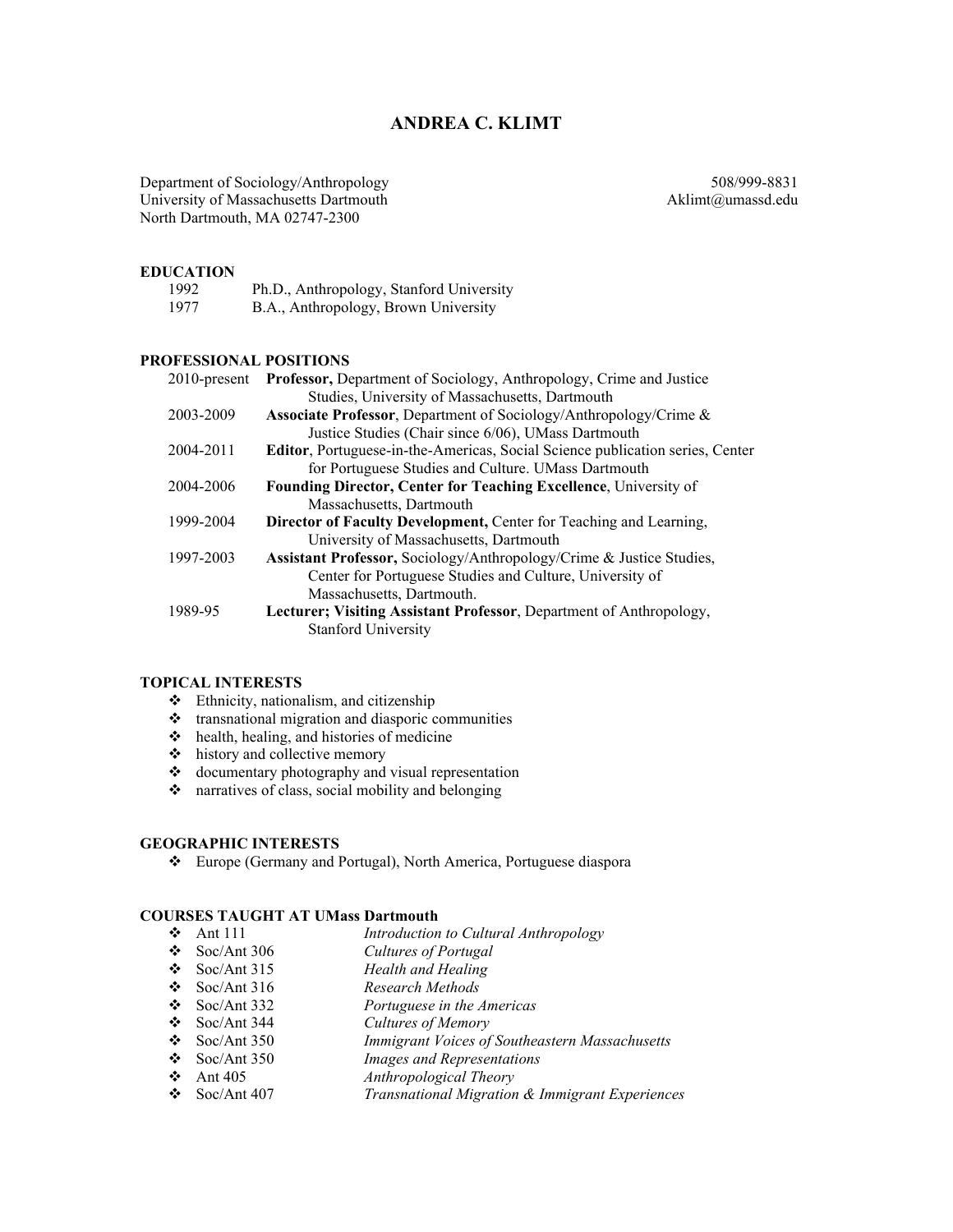# **ANDREA C. KLIMT**

Department of Sociology/Anthropology 508/999-8831 University of Massachusetts Dartmouth Aklimt@umassd.edu North Dartmouth, MA 02747-2300

#### **EDUCATION**

| 1992 | Ph.D., Anthropology, Stanford University |
|------|------------------------------------------|
| 1977 | B.A., Anthropology, Brown University     |

#### **PROFESSIONAL POSITIONS**

| $2010$ -present | Professor, Department of Sociology, Anthropology, Crime and Justice             |
|-----------------|---------------------------------------------------------------------------------|
|                 | Studies, University of Massachusetts, Dartmouth                                 |
| 2003-2009       | Associate Professor, Department of Sociology/Anthropology/Crime &               |
|                 | Justice Studies (Chair since 6/06), UMass Dartmouth                             |
| 2004-2011       | Editor, Portuguese-in-the-Americas, Social Science publication series, Center   |
|                 | for Portuguese Studies and Culture. UMass Dartmouth                             |
| 2004-2006       | <b>Founding Director, Center for Teaching Excellence, University of</b>         |
|                 | Massachusetts, Dartmouth                                                        |
| 1999-2004       | Director of Faculty Development, Center for Teaching and Learning,              |
|                 | University of Massachusetts, Dartmouth                                          |
| 1997-2003       | <b>Assistant Professor, Sociology/Anthropology/Crime &amp; Justice Studies,</b> |
|                 | Center for Portuguese Studies and Culture, University of                        |
|                 | Massachusetts, Dartmouth.                                                       |
| 1989-95         | Lecturer; Visiting Assistant Professor, Department of Anthropology,             |
|                 | <b>Stanford University</b>                                                      |

### **TOPICAL INTERESTS**

- Ethnicity, nationalism, and citizenship
- $\triangleleft$  transnational migration and diasporic communities
- $\triangleleft$  health, healing, and histories of medicine
- $\triangle$  history and collective memory
- $\triangleleft$  documentary photography and visual representation
- \* narratives of class, social mobility and belonging

#### **GEOGRAPHIC INTERESTS**

Europe (Germany and Portugal), North America, Portuguese diaspora

#### **COURSES TAUGHT AT UMass Dartmouth**

- **→** Ant 111 *Introduction to Cultural Anthropology*<br>
→ Soc/Ant 306 *Cultures of Portugal*
- **∴** Soc/Ant 306 *Cultures of Portugal*<br>← Soc/Ant 315 *Health and Healing*
- **Health and Healing**
- Soc/Ant 316 *Research Methods*
- Soc/Ant 332 *Portuguese in the Americas*
- Soc/Ant 344 *Cultures of Memory*
- Soc/Ant 350 *Immigrant Voices of Southeastern Massachusetts*
- **Images and Representations**
- Ant 405 *Anthropological Theory*
- Soc/Ant 407 *Transnational Migration & Immigrant Experiences*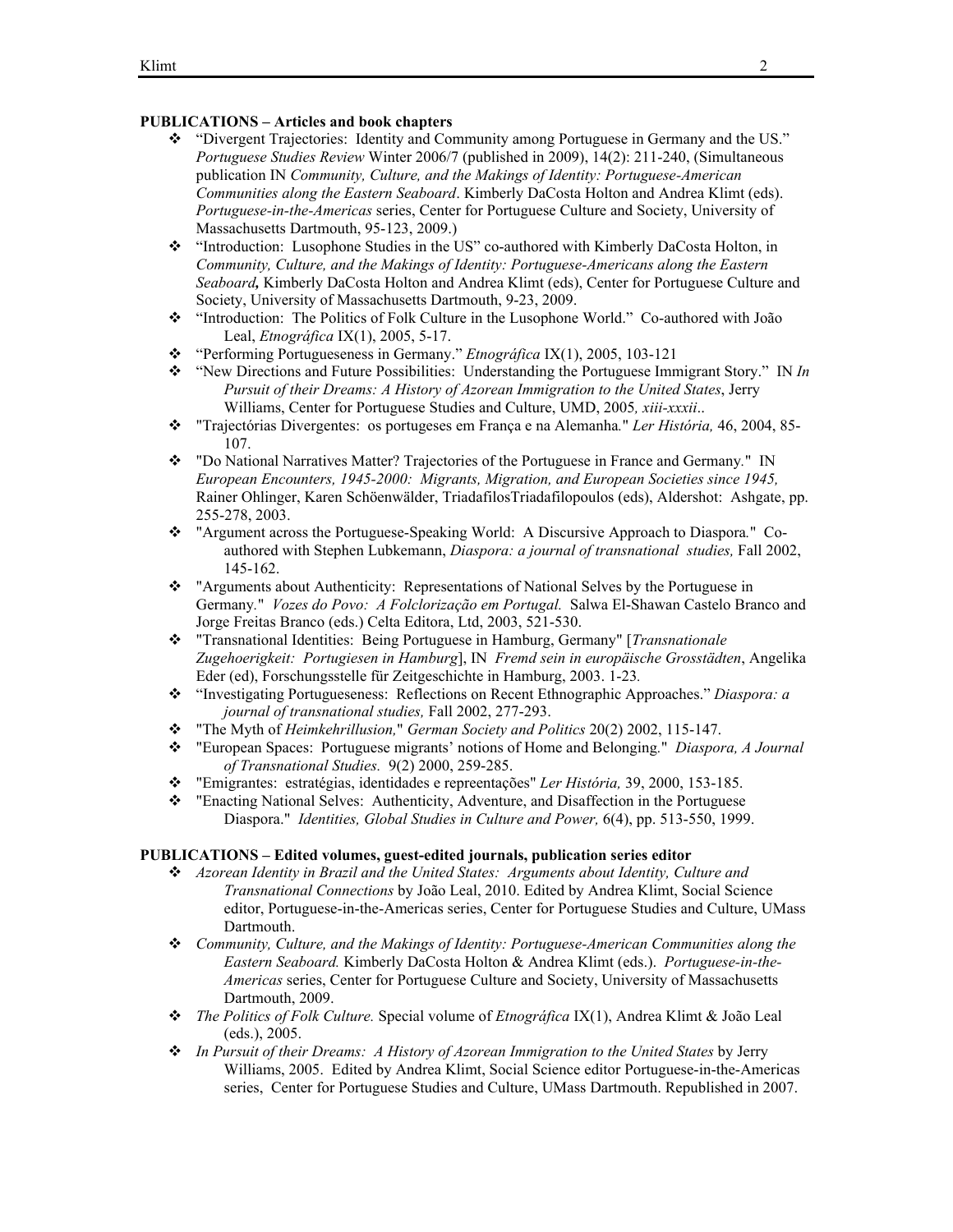### **PUBLICATIONS – Articles and book chapters**

- "Divergent Trajectories: Identity and Community among Portuguese in Germany and the US." *Portuguese Studies Review* Winter 2006/7 (published in 2009), 14(2): 211-240, (Simultaneous publication IN *Community, Culture, and the Makings of Identity: Portuguese-American Communities along the Eastern Seaboard*. Kimberly DaCosta Holton and Andrea Klimt (eds). *Portuguese-in-the-Americas* series, Center for Portuguese Culture and Society, University of Massachusetts Dartmouth, 95-123, 2009.)
- "Introduction: Lusophone Studies in the US" co-authored with Kimberly DaCosta Holton, in *Community, Culture, and the Makings of Identity: Portuguese-Americans along the Eastern Seaboard,* Kimberly DaCosta Holton and Andrea Klimt (eds), Center for Portuguese Culture and Society, University of Massachusetts Dartmouth, 9-23, 2009.
- "Introduction: The Politics of Folk Culture in the Lusophone World." Co-authored with João Leal, *Etnográfica* IX(1), 2005, 5-17.
- "Performing Portugueseness in Germany." *Etnográfica* IX(1), 2005, 103-121
- "New Directions and Future Possibilities: Understanding the Portuguese Immigrant Story." IN *In Pursuit of their Dreams: A History of Azorean Immigration to the United States*, Jerry Williams, Center for Portuguese Studies and Culture, UMD, 2005*, xiii-xxxii*..
- "Trajectórias Divergentes: os portugeses em França e na Alemanha*.*" *Ler História,* 46, 2004, 85- 107.
- "Do National Narratives Matter? Trajectories of the Portuguese in France and Germany*.*"IN *European Encounters, 1945-2000: Migrants, Migration, and European Societies since 1945,*  Rainer Ohlinger, Karen Schöenwälder, TriadafilosTriadafilopoulos (eds), Aldershot: Ashgate, pp. 255-278, 2003.
- "Argument across the Portuguese-Speaking World: A Discursive Approach to Diaspora*.*"Coauthored with Stephen Lubkemann, *Diaspora: a journal of transnational studies,* Fall 2002, 145-162.
- "Arguments about Authenticity: Representations of National Selves by the Portuguese in Germany*.*" *Vozes do Povo: A Folclorização em Portugal.* Salwa El-Shawan Castelo Branco and Jorge Freitas Branco (eds.) Celta Editora, Ltd, 2003, 521-530.
- "Transnational Identities: Being Portuguese in Hamburg, Germany" [*Transnationale Zugehoerigkeit: Portugiesen in Hamburg*], IN *Fremd sein in europäische Grosstädten*, Angelika Eder (ed), Forschungsstelle für Zeitgeschichte in Hamburg, 2003. 1-23*.*
- "Investigating Portugueseness: Reflections on Recent Ethnographic Approaches." *Diaspora: a journal of transnational studies,* Fall 2002, 277-293.
- "The Myth of *Heimkehrillusion,*" *German Society and Politics* 20(2) 2002, 115-147.
- "European Spaces: Portuguese migrants' notions of Home and Belonging*.*" *Diaspora, A Journal of Transnational Studies.* 9(2) 2000, 259-285.
- "Emigrantes: estratégias, identidades e repreentações" *Ler História,* 39, 2000, 153-185.
- "Enacting National Selves: Authenticity, Adventure, and Disaffection in the Portuguese Diaspora." *Identities, Global Studies in Culture and Power,* 6(4), pp. 513-550, 1999.

## **PUBLICATIONS – Edited volumes, guest-edited journals, publication series editor**

- *Azorean Identity in Brazil and the United States: Arguments about Identity, Culture and Transnational Connections* by João Leal, 2010. Edited by Andrea Klimt, Social Science editor, Portuguese-in-the-Americas series, Center for Portuguese Studies and Culture, UMass Dartmouth.
- *Community, Culture, and the Makings of Identity: Portuguese-American Communities along the Eastern Seaboard.* Kimberly DaCosta Holton & Andrea Klimt (eds.). *Portuguese-in-the-Americas* series, Center for Portuguese Culture and Society, University of Massachusetts Dartmouth, 2009.
- *The Politics of Folk Culture.* Special volume of *Etnográfica* IX(1), Andrea Klimt & João Leal (eds.), 2005.
- *In Pursuit of their Dreams: A History of Azorean Immigration to the United States* by Jerry Williams, 2005. Edited by Andrea Klimt, Social Science editor Portuguese-in-the-Americas series, Center for Portuguese Studies and Culture, UMass Dartmouth. Republished in 2007.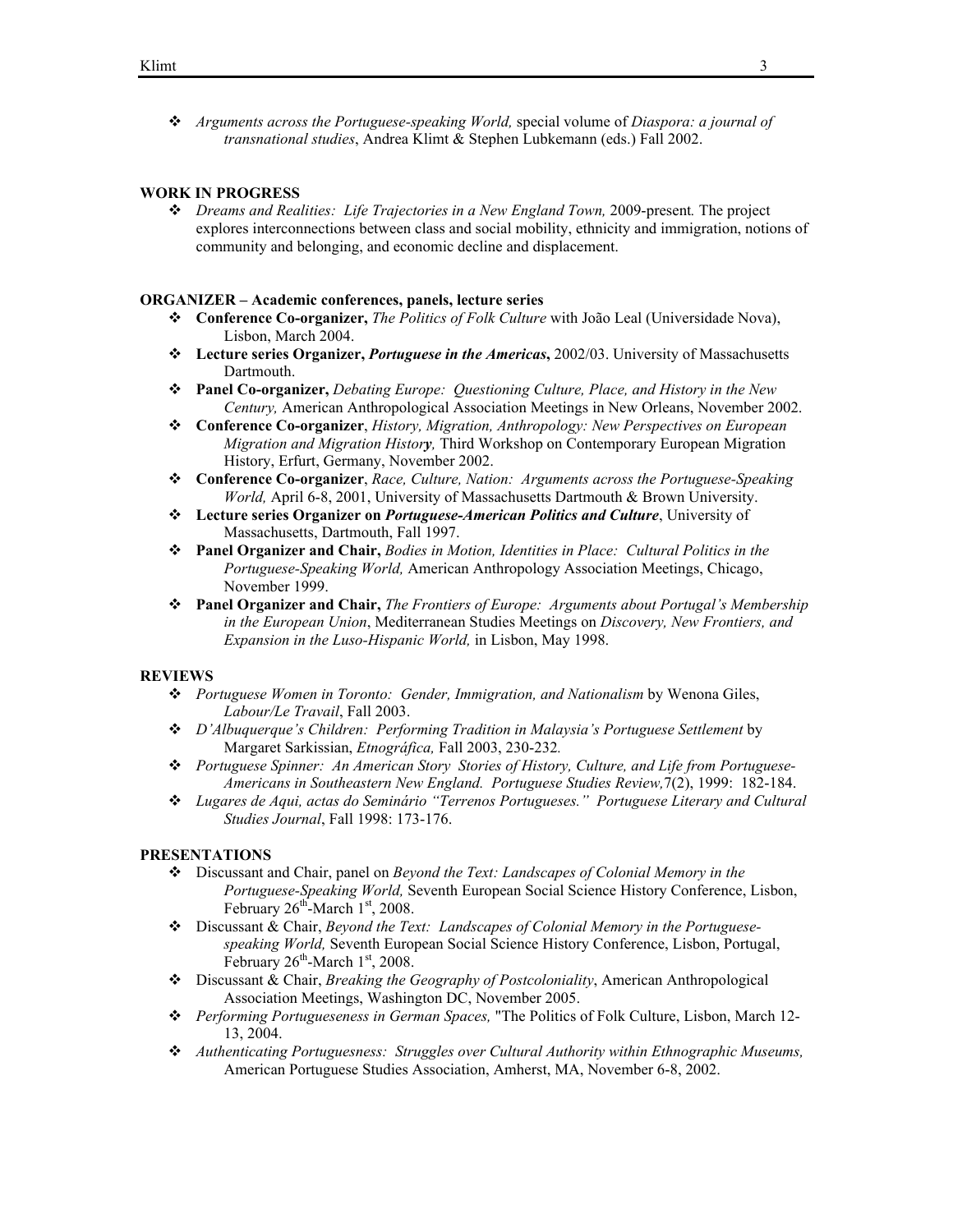*Arguments across the Portuguese-speaking World,* special volume of *Diaspora: a journal of transnational studies*, Andrea Klimt & Stephen Lubkemann (eds.) Fall 2002.

## **WORK IN PROGRESS**

 *Dreams and Realities: Life Trajectories in a New England Town,* 2009-present*.* The project explores interconnections between class and social mobility, ethnicity and immigration, notions of community and belonging, and economic decline and displacement.

## **ORGANIZER – Academic conferences, panels, lecture series**

- **Conference Co-organizer,** *The Politics of Folk Culture* with João Leal (Universidade Nova), Lisbon, March 2004.
- **Lecture series Organizer,** *Portuguese in the Americas***,** 2002/03. University of Massachusetts Dartmouth.
- **Panel Co-organizer,** *Debating Europe: Questioning Culture, Place, and History in the New Century,* American Anthropological Association Meetings in New Orleans, November 2002.
- **Conference Co-organizer**, *History, Migration, Anthropology: New Perspectives on European Migration and Migration History,* Third Workshop on Contemporary European Migration History, Erfurt, Germany, November 2002.
- **Conference Co-organizer**, *Race, Culture, Nation: Arguments across the Portuguese-Speaking World,* April 6-8, 2001, University of Massachusetts Dartmouth & Brown University.
- **Lecture series Organizer on** *Portuguese-American Politics and Culture*, University of Massachusetts, Dartmouth, Fall 1997.
- **Panel Organizer and Chair,** *Bodies in Motion, Identities in Place: Cultural Politics in the Portuguese-Speaking World,* American Anthropology Association Meetings, Chicago, November 1999.
- **Panel Organizer and Chair,** *The Frontiers of Europe: Arguments about Portugal's Membership in the European Union*, Mediterranean Studies Meetings on *Discovery, New Frontiers, and Expansion in the Luso-Hispanic World,* in Lisbon, May 1998.

## **REVIEWS**

- *Portuguese Women in Toronto: Gender, Immigration, and Nationalism* by Wenona Giles, *Labour/Le Travail*, Fall 2003.
- *D'Albuquerque's Children: Performing Tradition in Malaysia's Portuguese Settlement* by Margaret Sarkissian, *Etnográfica,* Fall 2003, 230-232*.*
- *Portuguese Spinner: An American Story Stories of History, Culture, and Life from Portuguese-Americans in Southeastern New England. Portuguese Studies Review,*7(2), 1999: 182-184.
- *Lugares de Aqui, actas do Seminário "Terrenos Portugueses." Portuguese Literary and Cultural Studies Journal*, Fall 1998: 173-176.

## **PRESENTATIONS**

- Discussant and Chair, panel on *Beyond the Text: Landscapes of Colonial Memory in the Portuguese-Speaking World,* Seventh European Social Science History Conference, Lisbon, February  $26^{\text{th}}$ -March  $1^{\text{st}}$ , 2008.
- Discussant & Chair, *Beyond the Text: Landscapes of Colonial Memory in the Portuguesespeaking World,* Seventh European Social Science History Conference, Lisbon, Portugal, February  $26^{\text{th}}$ -March  $1^{\text{st}}$ , 2008.
- Discussant & Chair, *Breaking the Geography of Postcoloniality*, American Anthropological Association Meetings, Washington DC, November 2005.
- *Performing Portugueseness in German Spaces,* "The Politics of Folk Culture, Lisbon, March 12- 13, 2004.
- *Authenticating Portuguesness: Struggles over Cultural Authority within Ethnographic Museums,*  American Portuguese Studies Association, Amherst, MA, November 6-8, 2002.